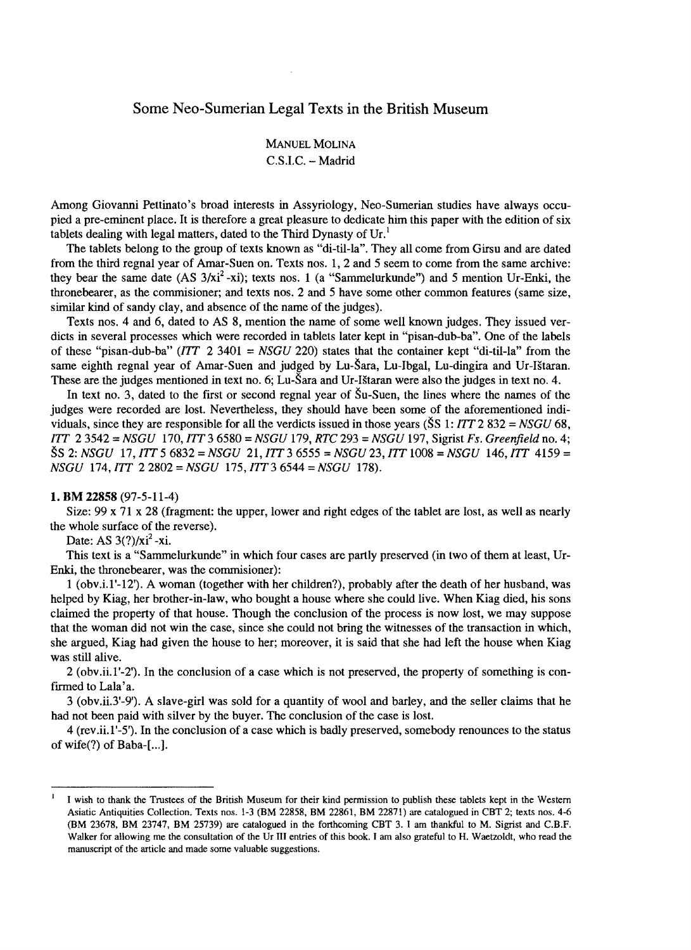## Sorne Neo-Surnerian Legal Texts in the British Museurn

# **MANUEL MOLINA** C.S.lC. - Madrid

Among Giovanni Pettinato's broad interests in Assyriology, Neo-Sumerian studies have always occupied a pre-eminent place. It is therefore a great pleasure to dedicate him this paper with the edition of six tablets dealing with legal matters, dated to the Third Dynasty of  $Ur<sup>1</sup>$ 

The tablets belong to the group of texts known as "di-til-la". They all come from Girsu and are dated from the third regnal year of Amar-Suen on. Texts nos. 1,2 and 5 seem to come fram the same archive: they bear the same date  $(AS 3/xi^2 -xi)$ ; texts nos. 1 (a "Sammelurkunde") and 5 mention Ur-Enki, the thronebearer, as the commisioner; and texts nos. 2 and 5 have some other common features (same size, similar kind of sandy clay, and absence of the name of the judges).

Texts nos. 4 and 6, dated to AS 8, mention the name of sorne well known judges. They issued verdicts in several processes which were recorded in tablets later kept in "pisan-dub-ba". One of the labels of these "pisan-dub-ba"  $(1TT \ 2 \ 3401 = NSGU \ 220)$  states that the container kept "di-til-la" from the same eighth regnal year of Amar-Suen and judged by Lu-Sara, Lu-Ibgal, Lu-dingira and Ur-IStaran. These are the judges mentioned in text no. 6; Lu-Sara and Ur-IStaran were also the judges in text no. 4.

In text no. 3, dated to the first or second regnal year of  $\text{\r{S}}u$ -Suen, the lines where the names of the judges were recorded are lost. Nevertheless, they should have been sorne of the aforementioned individuals, since they are responsible for all the verdicts issued in those years (SS 1: *lIT* 2 832 = *NSGU 68, lIT* 23542 = *NSGU* 170, *lIT* 3 6580 = *NSGU* 179, *RTC* 293 = *NSGU* 197, Sigrist *Fs. Greenfield* no. 4; SS 2: *NSGU* 17, *lIT* 5 6832 = *NSGU* 21, *lIT* 3 6555 = *NSGU23, lIT* 1008 = *NSGU* 146, *lIT* 4159 = *NSGU* 174, *lIT 22802=NSGU 175,IIT36544* = *NSGU* 178).

#### 1. BM 22858 (97-5-11-4)

Size: 99 x 71 x 28 (fragment: the upper, lower and right edges of the tablet are lost, as well as nearly the whole surface of the reverse).

Date: AS  $3(?)/xi^2$ -xi.

This text is a "Sarnmelurkunde" in which four cases are partly preserved (in two of them at least, Ur-Enki, the thronebearer, was the commisioner):

1 (obv.i.l'-12'). A woman (together with her children?), probably after the death of her husband, was helped by Kiag, her brother-in-Iaw, who bought a house where she could live. When Kiag died, his sons claimed the property of that house. Though the conclusion of the process is now lost, we may suppose that the woman did not win the case, since she could not bring the witnesses of the transaction in which, she argued, Kiag had given the house to her; moreover, it is said that she had left the house when Kiag was still alive.

 $2$  (obv.ii.1'-2'). In the conclusion of a case which is not preserved, the property of something is confirmed to Lala'a.

3 (obv.ii.3'-9'). A slave-girl was sold for a quantity of wool and barley, and the seller claims that he had not been paid with silver by the buyer. The conclusion of the case is lost.

4 (rev.ii.l'-5'). In the conc1usion of a case which is badly preserved, somebody renounces to the status of wife $(?)$  of Baba-[...].

<sup>&</sup>lt;sup>1</sup> I wish to thank the Trustees of the British Museum for their kind permission to publish these tablets kept in the Western Asiatic Antiquities Collection. Texts nos. 1-3 (BM 22858, BM 22861, BM 22871) are catalogued in CBT 2; texts nos. 4-6 (BM 23678, BM 23747, BM 25739) are catalogued in the forthcoming CBT 3. 1 am thankful to M. Sigrist and C.B.F. Walker for allowing me the consultation of the Ur III entries of this book. I am also grateful to H. Waetzoldt, who read the manuscript of the article and made sorne valuable suggestions.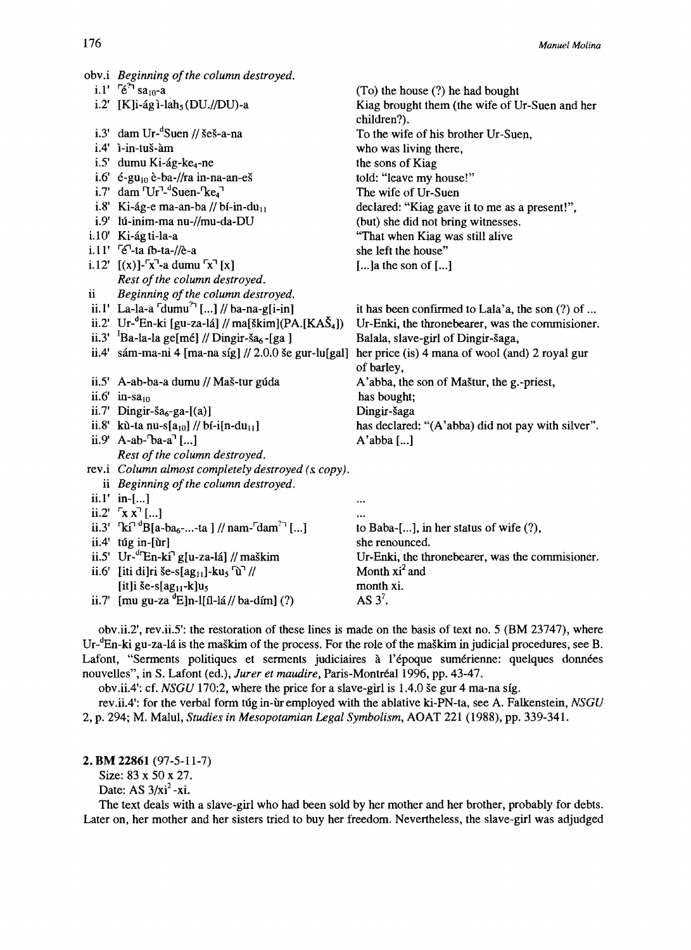|   | obv.i Beginning of the column destroyed.                                                         |                                                               |
|---|--------------------------------------------------------------------------------------------------|---------------------------------------------------------------|
|   | i.1' $\int e^{2\pi}$ sa <sub>10</sub> -a                                                         | (To) the house (?) he had bought                              |
|   | i.2' $[K]$ i-ág ì-lah <sub>5</sub> (DU.//DU)-a                                                   | Kiag brought them (the wife of Ur-Suen and her<br>children?). |
|   | i.3' dam Ur- $\mathrm{``Suen\,}$ // šeš-a-na                                                     | To the wife of his brother Ur-Suen,                           |
|   | i.4' ì-in-tuš-àm                                                                                 | who was living there,                                         |
|   | i.5' dumu Ki-ág-ke <sub>4</sub> -ne                                                              | the sons of Kiag                                              |
|   | i.6' é-gu <sub>10</sub> è-ba-//ra in-na-an-eš                                                    | told: "leave my house!"                                       |
|   | i.7' dam $\text{Ur}^{\text{T}_d}$ Suen- $\text{Re}_4$                                            | The wife of Ur-Suen                                           |
|   | i.8' Ki-ág-e ma-an-ba // bí-in-du $_{11}$                                                        | declared: "Kiag gave it to me as a present!",                 |
|   | i.9' lú-inim-ma nu-//mu-da-DU                                                                    | (but) she did not bring witnesses.                            |
|   | i.10' Ki-ág ti-la-a                                                                              | "That when Kiag was still alive                               |
|   | i.11' <sup>[6]</sup> -ta íb-ta-//è-a                                                             | she left the house"                                           |
|   | i.12' $[(x)]$ -''x <sup>-1</sup> -a dumu ''x <sup>-1</sup> [x]                                   | [] a the son of $[]$                                          |
|   | Rest of the column destroyed.                                                                    |                                                               |
| ü | Beginning of the column destroyed.                                                               |                                                               |
|   | ii.1' La-la-a $\lceil$ dumu <sup>2</sup> $\lceil$ ] // ba-na-g[i-in]                             | it has been confirmed to Lala'a, the son (?) of               |
|   | ii.2' Ur- ${}^{\circ}$ En-ki [gu-za-lá] // ma[škim](PA.[KAŠ <sub>4</sub> ])                      | Ur-Enki, the thronebearer, was the commisioner.               |
|   | ii.3' ${}^{1}$ Ba-la-la ge[mé] // Dingir-ša <sub>6</sub> -[ga]                                   | Balala, slave-girl of Dingir-šaga,                            |
|   | ii.4' sám-ma-ni 4 [ma-na síg] // 2.0.0 še gur-lu[gal]                                            | her price (is) 4 mana of wool (and) 2 royal gur<br>of barley, |
|   | ii.5' A-ab-ba-a dumu // Maš-tur gúda                                                             | A'abba, the son of Maštur, the g.-priest,                     |
|   | ii.6' in-sa <sub>10</sub>                                                                        | has bought;                                                   |
|   | ii.7' Dingir-ša <sub>6</sub> -ga- $[(a)]$                                                        | Dingir-šaga                                                   |
|   | ii.8' kù-ta nu-s[ $a_{10}$ ] // bí-i[n-du <sub>11</sub> ]                                        | has declared: "(A'abba) did not pay with silver".             |
|   | ii.9' A-ab- $\text{ba-a}^{\dagger}$ []                                                           | $A'abba$ []                                                   |
|   | Rest of the column destroyed.                                                                    |                                                               |
|   | rev.i Column almost completely destroyed (s. copy).                                              |                                                               |
|   | ii Beginning of the column destroyed.                                                            |                                                               |
|   | ii.1' in-[]                                                                                      | $\ddotsc$                                                     |
|   | ii.2' $\lceil x x \rceil$ ]                                                                      |                                                               |
|   | ii.3' $\text{Ri}^{\text{d}}$ "B[a-ba <sub>6</sub> --ta ] // nam- $\text{d}$ am <sup>2-1</sup> [] | to Baba-[], in her status of wife $(?)$ ,                     |
|   | $ii.4'$ túg in-[ùr]                                                                              | she renounced.                                                |
|   | ii.5' Ur- ${}^{d}$ En-ki <sup>7</sup> g[u-za-lá] // maškim                                       | Ur-Enki, the thronebearer, was the commisioner.               |
|   | ii.6' [iti di]ri še-s[ag <sub>11</sub> ]-ku <sub>5</sub> $\hat{u}$ <sup>7</sup> //               | Month $xi^2$ and                                              |
|   | [it]i še-s[ag <sub>11</sub> -k] $u_5$                                                            | month xi.                                                     |
|   | ii.7' [mu gu-za <sup>d</sup> E]n-l[íl-lá // ba-dím] (?)                                          | AS $3^2$ .                                                    |

obv.ii.2', rev.ii.5': the restoration of these lines is made on the basis of text no. 5 (BM 23747), where Ur-<sup>d</sup>En-ki gu-za-lá is the maškim of the process. For the role of the maškim in judicial procedures, see B. Lafont, "Serments politiques et serments judiciaires à l'époque sumérienne: quelques données nouvelles", in S. Lafont (ed.), Jurer et maudire, Paris-Montréal 1996, pp. 43-47.

obv.ii.4': cf. NSGU 170:2, where the price for a slave-girl is 1.4.0 še gur 4 ma-na síg.

rev.ii.4': for the verbal form túg in-ùr employed with the ablative ki-PN-ta, see A. Falkenstein, NSGU 2, p. 294; M. Malul, Studies in Mesopotamian Legal Symbolism, AOAT 221 (1988), pp. 339-341.

#### 2. BM 22861 (97-5-11-7)

Size: 83 x 50 x 27.

Date: AS  $3/xi^2 - xi$ .

The text deals with a slave-girl who had been sold by her mother and her brother, probably for debts. Later on, her mother and her sisters tried to buy her freedom. Nevertheless, the slave-girl was adjudged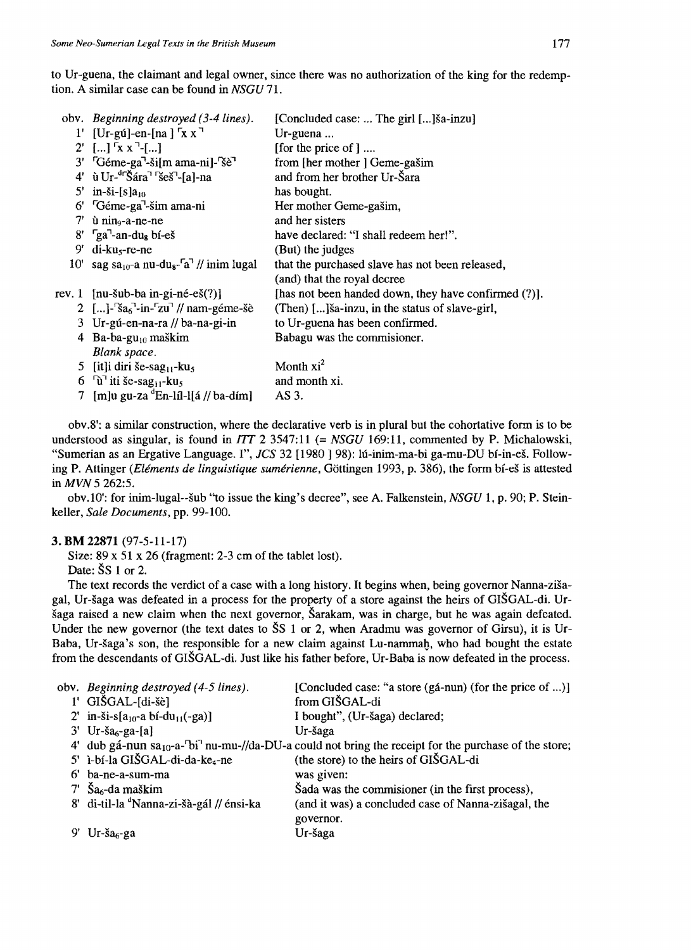to Ur-guena, the claimant and legal owner, since there was no authorization of the king for the redemption. A similar case can be found in NSGU 71.

|     | oby. <i>Beginning destroyed</i> (3-4 lines).                        | [Concluded case:  The girl []ša-inzu]                |
|-----|---------------------------------------------------------------------|------------------------------------------------------|
|     | $1'$ [Ur-gú]-en-[na] $\sqrt{X}X$                                    | $Ur$ -guena                                          |
|     | 2' [] $\lceil x x \rceil$ -[]                                       | [for the price of ]                                  |
|     | 3' <sup>"</sup> Géme-ga <sup>"</sup> -ši[m ama-ni]- <sup>"se"</sup> | from [her mother ] Geme-gašim                        |
|     | $4'$ ù Ur- $4\sqrt{5}$ ára <sup>1</sup> Ses <sup>-1</sup> -fal-na   | and from her brother Ur-Šara                         |
|     | 5' in-ši-[s] $a_{10}$                                               | has bought.                                          |
|     | $6'$ $G$ éme-ga <sup><math>-</math></sup> šim ama-ni                | Her mother Geme-gašim,                               |
|     | $7'$ ù nin <sub>9</sub> -a-ne-ne                                    | and her sisters                                      |
|     | $8'$ $\int$ ga <sup>-1</sup> -an-du <sub>s</sub> bi-eš              | have declared: "I shall redeem her!".                |
| 9'  | $di$ -ku <sub>s</sub> -re-ne                                        | (But) the judges                                     |
| 10' | sag sa <sub>10</sub> -a nu-du <sub>8</sub> - $a^7$ // inim lugal    | that the purchased slave has not been released,      |
|     |                                                                     | (and) that the royal decree                          |
|     | rev. 1 $[nu-šub-ba in-gi-né-eš(?)]$                                 | [has not been handed down, they have confirmed (?)]. |
|     | 2 []- $\frac{3a_6}{2}$ -in- $\frac{5a_1}{2}$ // nam-géme-šè         | (Then) [] sa-inzu, in the status of slave-girl,      |
|     | 3 Ur-gú-en-na-ra // ba-na-gi-in                                     | to Ur-guena has been confirmed.                      |
| 4   | $Ba-ba-gu_{10}$ maškim                                              | Babagu was the commisioner.                          |
|     | Blank space.                                                        |                                                      |
|     | 5 [it]i diri še-sag <sub>11</sub> -ku <sub>5</sub>                  | Month $xi^2$                                         |
|     | 6 $\hat{u}$ iti še-sag <sub>11</sub> -ku <sub>5</sub>               | and month xi.                                        |
| 7.  | $[m]$ u gu-za "En-líl-l[á // ba-dím]                                | AS 3.                                                |

obv.8': a similar construction, where the declarative verb is in plural but the cohortative form is to be understood as singular, is found in  $ITT$  2 3547:11 (= NSGU 169:11, commented by P. Michalowski, "Sumerian as an Ergative Language. I", JCS 32 [1980] 98): lú-inim-ma-bi ga-mu-DU bí-in-eš. Following P. Attinger (Eléments de linguistique sumérienne, Göttingen 1993, p. 386), the form bí-eš is attested in MVN 5 262:5.

obv.10': for inim-lugal--šub "to issue the king's decree", see A. Falkenstein, NSGU 1, p. 90; P. Steinkeller, Sale Documents, pp. 99-100.

### 3. BM 22871 (97-5-11-17)

Size:  $89 \times 51 \times 26$  (fragment: 2-3 cm of the tablet lost). Date:  $\tilde{S}S$  1 or 2.

The text records the verdict of a case with a long history. It begins when, being governor Nanna-zišagal, Ur-šaga was defeated in a process for the property of a store against the heirs of GIŠGAL-di. Uršaga raised a new claim when the next governor, Šarakam, was in charge, but he was again defeated. Under the new governor (the text dates to  $SS 1$  or 2, when Aradmu was governor of Girsu), it is Ur-Baba, Ur-šaga's son, the responsible for a new claim against Lu-nammah, who had bought the estate from the descendants of GIŠGAL-di. Just like his father before, Ur-Baba is now defeated in the process.

|    | obv. Beginning destroyed (4-5 lines).              | [Concluded case: "a store (gá-nun) (for the price of )]                                                                                     |
|----|----------------------------------------------------|---------------------------------------------------------------------------------------------------------------------------------------------|
|    | $1'$ GIŠGAL-[di-šè]                                | from GIŠGAL-di                                                                                                                              |
|    | 2' in-ši-s[ $a_{10}$ -a bí-du <sub>11</sub> (-ga)] | I bought", (Ur-šaga) declared;                                                                                                              |
|    | $3'$ Ur-ša <sub>6</sub> -ga-[a]                    | Ur-šaga                                                                                                                                     |
|    |                                                    | 4' dub gá-nun sa <sub>10</sub> -a- <sup>1</sup> bi <sup>-1</sup> nu-mu-//da-DU-a could not bring the receipt for the purchase of the store; |
|    | 5' ì-bí-la GIŠGAL-di-da-ke4-ne                     | (the store) to the heirs of GIŠGAL-di                                                                                                       |
| 6' | ba-ne-a-sum-ma                                     | was given:                                                                                                                                  |
|    | $7'$ Ša <sub>6</sub> -da maškim                    | Šada was the commissioner (in the first process),                                                                                           |
|    | 8' di-til-la "Nanna-zi-šà-gál // énsi-ka           | (and it was) a concluded case of Nanna-zišagal, the                                                                                         |
|    |                                                    | governor.                                                                                                                                   |
|    | $Ur$ -ša <sub>6</sub> -ga                          | Ur-šaga                                                                                                                                     |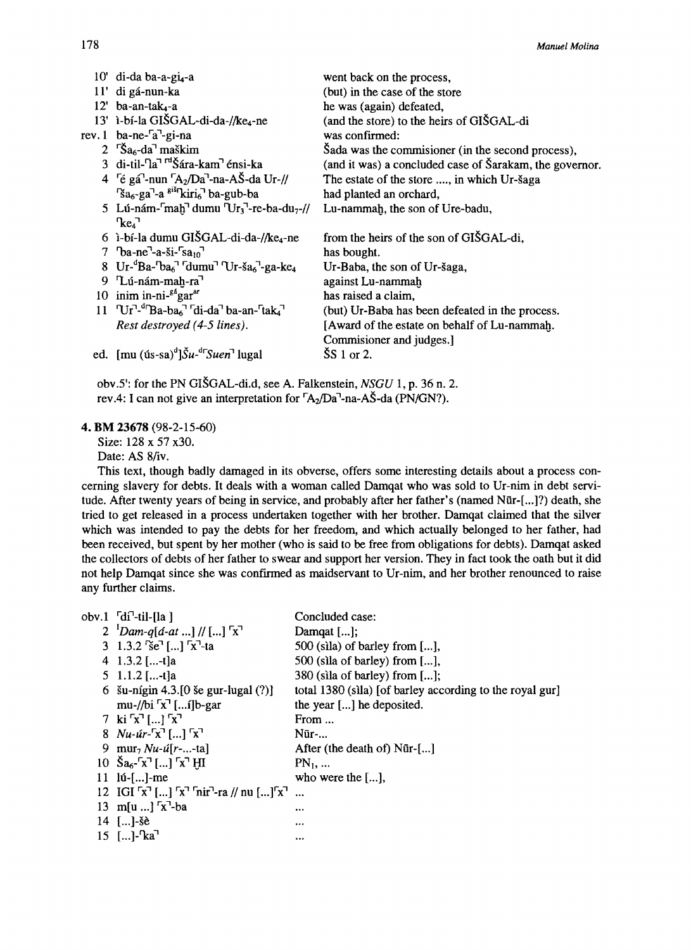|     | 10' di-da ba-a-gi <sub>4</sub> -a                                                                                                                    | went back on the process,                               |
|-----|------------------------------------------------------------------------------------------------------------------------------------------------------|---------------------------------------------------------|
| 11' | di gá-nun-ka                                                                                                                                         | (but) in the case of the store                          |
|     | $12'$ ba-an-tak <sub>4</sub> -a                                                                                                                      | he was (again) defeated,                                |
|     | 13' ì-bí-la GIŠGAL-di-da-//ke <sub>4</sub> -ne                                                                                                       | (and the store) to the heirs of GISGAL-di               |
|     | rev. 1 ba-ne- <sup>r</sup> a <sup>-</sup> -gi-na                                                                                                     | was confirmed:                                          |
|     | 2 $\Im$ a <sub>6</sub> -da <sup>1</sup> maškim                                                                                                       | Sada was the commissioner (in the second process),      |
|     | 3 di-til- <sup>n</sup> a <sup>1 rd</sup> Šára-kam <sup>1</sup> énsi-ka                                                                               | (and it was) a concluded case of Šarakam, the governor. |
|     | 4 <sup>c</sup> é gá <sup>-</sup> -nun $[A_2/Da^T$ -na-AŠ-da Ur-//                                                                                    | The estate of the store , in which Ur-šaga              |
|     | $\int$ sa <sub>6</sub> -ga <sup>-</sup> -a <sup>giš</sup> kiri <sub>6</sub> <sup>-</sup> ba-gub-ba                                                   | had planted an orchard,                                 |
|     | 5 Lú-nám- $\lceil$ mah <sup>1</sup> dumu $\lceil \text{Ur}_3 \rceil$ -re-ba-du <sub>7</sub> -//                                                      | Lu-nammah, the son of Ure-badu,                         |
|     | $\text{Re}_4$                                                                                                                                        |                                                         |
|     | 6 i-bí-la dumu GIŠGAL-di-da-//ke <sub>4</sub> -ne                                                                                                    | from the heirs of the son of GISGAL-di,                 |
|     | 7 $\text{Da-ne}$ <sup>-</sup> -a-ši- $\text{Sa}_{10}$ <sup>-1</sup>                                                                                  | has bought.                                             |
|     | 8 Ur- ${}^d$ Ba- ${}^b$ ba <sub>6</sub> <sup><math>\top</math></sup> dumu <sup><math>\top</math></sup> Ur-ša <sub>6</sub> ${}^1$ -ga-ke <sub>4</sub> | Ur-Baba, the son of Ur-šaga,                            |
| 9.  | "Lú-nám-mah-ra"                                                                                                                                      | against Lu-nammah                                       |
|     | 10 inim in-ni- $g^2$ gar <sup>ar</sup>                                                                                                               | has raised a claim,                                     |
|     | $11$ $\text{Ur}$ <sup>-d</sup> Ba-ba <sub>6</sub> <sup>-1</sup> di-da <sup>-1</sup> ba-an- <sup>r</sup> tak <sub>4</sub> <sup>-1</sup>               | (but) Ur-Baba has been defeated in the process.         |
|     | Rest destroyed (4-5 lines).                                                                                                                          | [Award of the estate on behalf of Lu-nammah.            |
|     |                                                                                                                                                      | Commisioner and judges.]                                |
|     | ed. [mu $(is-sa)^d$ ] $\tilde{S}u^{-d}$ [ <i>Suen</i> <sup>7</sup> lugal]                                                                            | $\textcolor{blue}{\mathsf{SS}}$ 1 or 2.                 |
|     |                                                                                                                                                      |                                                         |

obv.5': for the PN GISGAL-di.d, see A. Falkenstein, *NSGU* 1, p. 36 n. 2. rev.4: I can not give an interpretation for  $\sqrt{\frac{A_2}{Da}}$ -na-AŠ-da (PN/GN?).

#### **4. BM** 23678 (98-2-15-60)

Size: 128 x 57 x30.

Date: AS 8/iv.

This text, though badly damaged in its obverse, offers some interesting details about a process conceming slavery for debts. It deals with a woman called Darnqat who was sold to Ur-nim in debt servitude. After twenty years of being in service, and probably after her father's (named Nūr-[...]?) death, she tried to get released in a process undertaken together with her brother. Damqat claimed that the silver which was intended to pay the debts for her freedom, and which actually belonged to her father, had been received, but spent by her mother (who is said to be free from obligations for debts). Darnqat asked the collectors of debts of her father to swear and support her version. They in fact took the oath but it did not help Darnqat since she was confrrrned as rnaidservant to Ur-nim, and her brother renounced to raise any further claims.

|                             | Concluded case:                                                                                                                                                                                                                                                                                                                                                                                                                                                                                                                                                                                                                                                         |
|-----------------------------|-------------------------------------------------------------------------------------------------------------------------------------------------------------------------------------------------------------------------------------------------------------------------------------------------------------------------------------------------------------------------------------------------------------------------------------------------------------------------------------------------------------------------------------------------------------------------------------------------------------------------------------------------------------------------|
|                             | Damqat [];                                                                                                                                                                                                                                                                                                                                                                                                                                                                                                                                                                                                                                                              |
|                             | $500$ (sila) of barley from $[\dots]$ ,                                                                                                                                                                                                                                                                                                                                                                                                                                                                                                                                                                                                                                 |
|                             | 500 (sila of barley) from [],                                                                                                                                                                                                                                                                                                                                                                                                                                                                                                                                                                                                                                           |
|                             | 380 (sila of barley) from $[\dots]$ ;                                                                                                                                                                                                                                                                                                                                                                                                                                                                                                                                                                                                                                   |
|                             | total 1380 (sila) [of barley according to the royal gur]                                                                                                                                                                                                                                                                                                                                                                                                                                                                                                                                                                                                                |
| mu-//bi $\sqrt{r}$ [i]b-gar | the year [] he deposited.                                                                                                                                                                                                                                                                                                                                                                                                                                                                                                                                                                                                                                               |
|                             | From $\ldots$                                                                                                                                                                                                                                                                                                                                                                                                                                                                                                                                                                                                                                                           |
|                             | Nūr-                                                                                                                                                                                                                                                                                                                                                                                                                                                                                                                                                                                                                                                                    |
|                             | After (the death of) Nür-[]                                                                                                                                                                                                                                                                                                                                                                                                                                                                                                                                                                                                                                             |
|                             | $PN_1, $                                                                                                                                                                                                                                                                                                                                                                                                                                                                                                                                                                                                                                                                |
|                             | who were the $[\dots]$ ,                                                                                                                                                                                                                                                                                                                                                                                                                                                                                                                                                                                                                                                |
|                             |                                                                                                                                                                                                                                                                                                                                                                                                                                                                                                                                                                                                                                                                         |
|                             |                                                                                                                                                                                                                                                                                                                                                                                                                                                                                                                                                                                                                                                                         |
|                             |                                                                                                                                                                                                                                                                                                                                                                                                                                                                                                                                                                                                                                                                         |
|                             | 1.14                                                                                                                                                                                                                                                                                                                                                                                                                                                                                                                                                                                                                                                                    |
|                             | obv.1 $\lceil \cdot d \rceil$ -til-[la ]<br>2 $^{1}$ <i>Dam-q</i> [ <i>á-at</i> ] // [] $^{r}x^{7}$<br>3 1.3.2 se [] $x^{-1}$ -ta<br>4 1.3.2 [-t]a<br>5 1.1.2 [-t]a<br>6 $\sin \pi i$ 4.3. [0 se gur-lugal (?)]<br>7 ki $\lceil x \rceil$ [] $\lceil x \rceil$<br>8 $Nu$ - <i>úr</i> - <sup><math>\lceil x \rceil</math> [] <math>\lceil x \rceil</math></sup><br>9 mur <sub>7</sub> $Nu - u[r -  - ta]$<br>10 $\text{Sa}_6$ - $\text{'a}^T$ [] $\text{a}^T$ HI<br>$11 \text{ lú-}$ []-me<br>12 IGI $\lceil x \rceil$ [] $\lceil x \rceil$ $\lceil \arcsin x \rceil$ a // nu [] $\lceil x \rceil$<br>13 m[u ] $x^7-ba$<br>$14$ []-se<br>$15$ []- $\text{Ra}^{\text{T}}$ |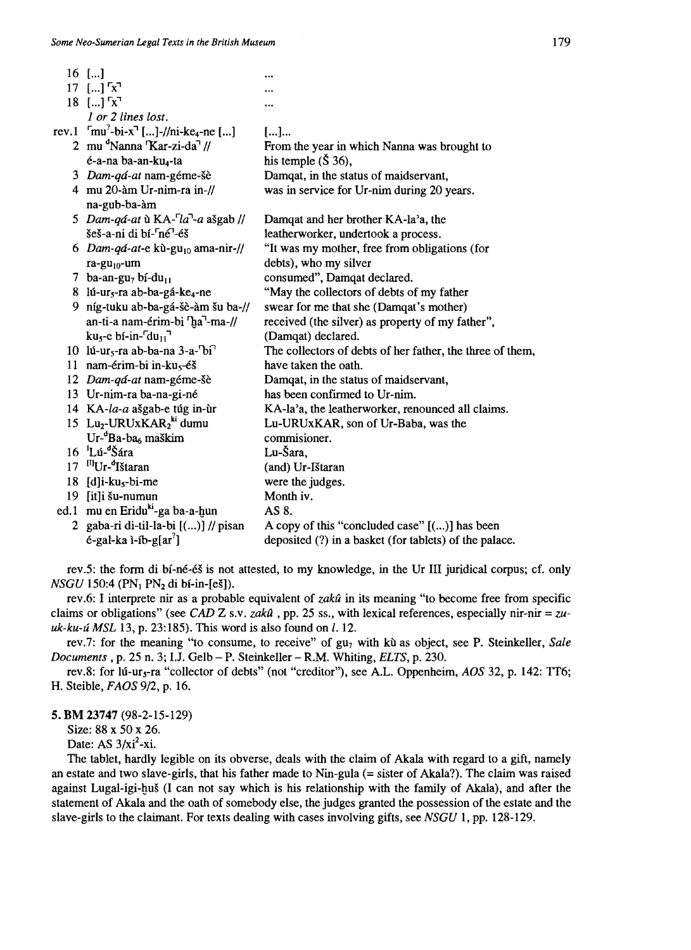|      | $16$ []                                                               |                                                           |
|------|-----------------------------------------------------------------------|-----------------------------------------------------------|
|      | $17$ [] $x^7$                                                         |                                                           |
|      | $18$ [] $x^7$                                                         |                                                           |
|      | 1 or 2 lines lost.                                                    |                                                           |
|      | rev.1 $\text{r}^2$ -bi-x <sup>-1</sup> []-//ni-ke <sub>4</sub> -ne [] | []                                                        |
|      | 2 mu Nanna Kar-zi-da //                                               | From the year in which Nanna was brought to               |
|      | é-a-na ba-an-ku <sub>4</sub> -ta                                      | his temple $(\check{S} 36)$ ,                             |
|      | 3 Dam-qá-at nam-géme-šè                                               | Damqat, in the status of maidservant,                     |
|      | 4 mu 20-àm Ur-nim-ra in-//                                            | was in service for Ur-nim during 20 years.                |
|      | na-gub-ba-àm                                                          |                                                           |
|      | 5 Dam-qá-at ù KA- <sup>-</sup> la <sup>-1</sup> -a ašgab //           | Damqat and her brother KA-la'a, the                       |
|      | šeš-a-ni di bí- <sup>r</sup> né <sup>-1</sup> -éš                     | leatherworker, undertook a process.                       |
|      | 6 Dam-qá-at-e kù-gu <sub>10</sub> ama-nir-//                          | "It was my mother, free from obligations (for             |
|      | $ra-gu_{10}$ -um                                                      | debts), who my silver                                     |
|      | 7 ba-an-gu <sub>7</sub> bí-du <sub>11</sub>                           | consumed", Damqat declared.                               |
|      | 8 lú-ur <sub>5</sub> -ra ab-ba-gá-ke <sub>4</sub> -ne                 | "May the collectors of debts of my father                 |
| 9.   | níg-tuku ab-ba-gá-šè-àm šu ba-//                                      | swear for me that she (Damqat's mother)                   |
|      | an-ti-a nam-érim-bi 'ha''-ma-//                                       | received (the silver) as property of my father",          |
|      | $ku5$ -e bí-in- $\ulcorner du_{11} \urcorner$                         | (Damqat) declared.                                        |
|      | 10 lú-ur <sub>5</sub> -ra ab-ba-na 3-a- $\overline{b}i$ <sup>-1</sup> | The collectors of debts of her father, the three of them, |
|      | 11 nam-érim-bi in-ku <sub>s</sub> -éš                                 | have taken the oath.                                      |
|      | 12 Dam-qá-at nam-géme-šè                                              | Damqat, in the status of maidservant,                     |
|      | 13 Ur-nim-ra ba-na-gi-né                                              | has been confirmed to Ur-nim.                             |
|      | 14 KA-la-a ašgab-e túg in-ùr                                          | KA-la'a, the leatherworker, renounced all claims.         |
|      | 15 Lu <sub>2</sub> -URUxKAR <sub>2</sub> <sup>ki</sup> dumu           | Lu-URUxKAR, son of Ur-Baba, was the                       |
|      | Ur- <sup>4</sup> Ba-ba <sub>6</sub> maškim                            | commisioner.                                              |
|      | $16$ $\mathrm{L}$ ú- $\mathrm{K}$ ára                                 | Lu-Šara,                                                  |
| 17   | <sup>[1]</sup> Ur- <sup>d</sup> Ištaran                               | (and) Ur-Ištaran                                          |
| 18   | $[d]$ i-ku <sub>s</sub> -bi-me                                        | were the judges.                                          |
| 19   | [it]i šu-numun                                                        | Month iv.                                                 |
| ed.1 | mu en Eriduki-ga ba-a-hun                                             | AS 8.                                                     |
|      | 2 gaba-ri di-til-la-bi [()] // pisan                                  | A copy of this "concluded case" $[(]$ has been            |
|      | $é$ -gal-ka ì-íb-g[ar <sup>?</sup> ]                                  | deposited (?) in a basket (for tablets) of the palace.    |

rev.5: the form di bí-né-és is not attested, to my knowledge, in the Ur III jurídical corpus; cf. only *NSGU* 150:4 (PN<sub>1</sub> PN<sub>2</sub> di bí-in-[eš]).

rev.6: 1 interprete nír as a probable equivalent of *zakú* in its meaning "to become free from specific claims or obligations" (see *CAD*  $Z$  s.v. *zakû*, pp. 25 ss., with lexical references, especially nir-nir = *zuuk-ku-ú MSL* 13, p. 23:185). This word is also found on *l.* 12.

rev.7: for the meaning "to consume, to receive" of gu<sub>7</sub> with kù as object, see P. Steinkeller, *Sale Documents* , p. 25 n. 3; !.J. Gelb - P. Steinkeller - R.M. Whiting, *ELTS,* p. 230.

rev.8: for lú-ur<sub>s</sub>-ra "collector of debts" (not "creditor"), see A.L. Oppenheim, *AOS* 32, p. 142: TT6; H. Steible, *FAOS9/2,* p. 16.

5. **BM** 23747 (98-2-15-129)

Size: 88 x 50 x 26.

Date: AS  $3/xi^2$ -xi.

The tablet, hardly legible on its obverse, deals with the claim of Akala with regard to a gift, namely an estate and two slave-girls, that his father made to Nin-gula (= sister of Akala?). The claim was raised against Lugal-igi-gus (1 can not say which is his relationship with the family of Akala), and after the statement of Akala and the oath of somebody else, the judges granted the possession of the estate and the slave-gírls to the claimant. For texts dealing with cases involving gifts, see *NSGU* 1, pp. 128-129.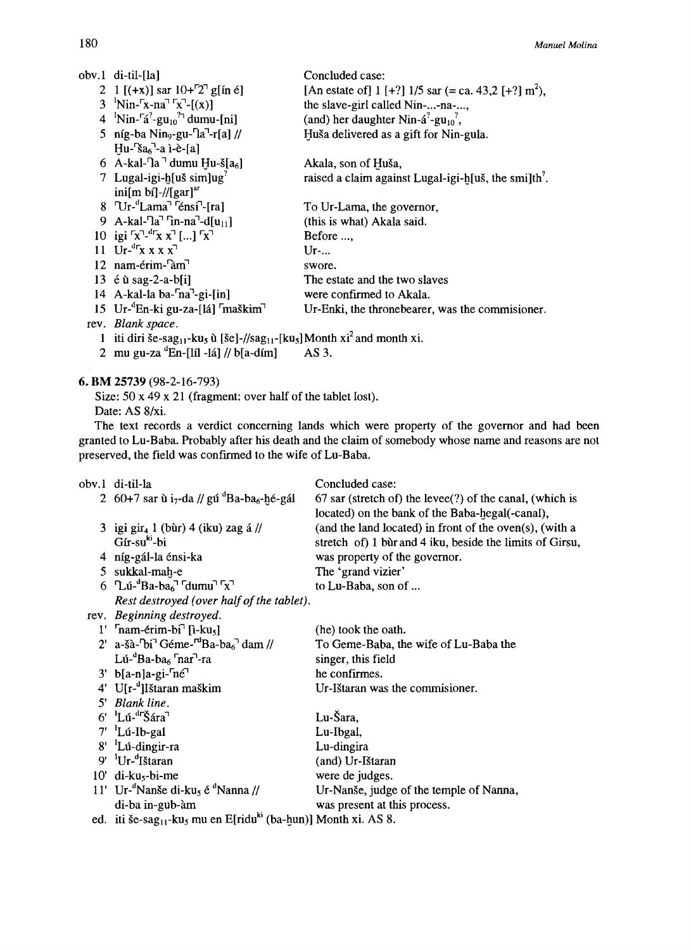| obv.1 di-til-[la]                                                                                                            | Concluded case:                                                      |
|------------------------------------------------------------------------------------------------------------------------------|----------------------------------------------------------------------|
| 2 1 [(+x)] sar $10+7$ <sup>-7</sup> g[in é]                                                                                  | [An estate of] 1 [+?] $1/5$ sar (= ca. 43,2 [+?] m <sup>2</sup> ),   |
| 3 $\text{N}$ in- $\text{S}$ -na <sup><math>\text{S}</math></sup> $\text{S}$ <sup>-</sup> $\text{S}$ <sup>-1</sup> $\text{S}$ | the slave-girl called Nin--na-,                                      |
| 4 $\mathrm{Nin}$ - $\mathrm{r\acute{a}}^2$ -gu <sub>10</sub> <sup>2</sup> dumu-[ni]                                          | (and) her daughter Nin- $\hat{a}^2$ -gu <sub>10</sub> <sup>2</sup> , |
| 5 níg-ba Nin <sub>9</sub> -gu- $[a^T$ -r[a] //                                                                               | Huša delivered as a gift for Nin-gula.                               |
| $Hu$ - $Sa_6$ <sup>-1</sup> -a ì-è- $[a]$                                                                                    |                                                                      |
| 6 A-kal- <sup>n</sup> a <sup>-1</sup> dumu Hu-š $[a_6]$                                                                      | Akala, son of Huša,                                                  |
| 7 Lugal-igi-h[uš sim]ug <sup>7</sup>                                                                                         | raised a claim against Lugal-igi-h[uš, the smilth <sup>7</sup> .     |
| ini[m bí]-//[gar] <sup>ar</sup>                                                                                              |                                                                      |
| $8$ $\text{Ur}$ - $\text{Lama}$ <sup><math>\text{Te}</math></sup> $\text{f}$ ral                                             | To Ur-Lama, the governor,                                            |
| 9 A-kal- $\text{Ta}^T$ in-na <sup>-1</sup> -d[u <sub>11</sub> ]                                                              | (this is what) Akala said.                                           |
| 10 igi $\lceil x \rceil$ - <sup>dr</sup> x x <sup>-1</sup> [] $\lceil x \rceil$                                              | Before                                                               |
| 11 Ur- ${}^{d}rx$ x x x <sup>-1</sup>                                                                                        | Ur                                                                   |
| 12 nam-érim- <sup>r</sup> àm <sup>-1</sup>                                                                                   | swore.                                                               |
| 13 $\acute{e}$ ù sag-2-a-b[i]                                                                                                | The estate and the two slaves                                        |
| 14 A-kal-la ba- <sup>r</sup> na <sup>1</sup> -gi-[in]                                                                        | were confirmed to Akala.                                             |
| 15 Ur- ${}^d$ En-ki gu-za-[lá] ${}^r$ maškim <sup>1</sup>                                                                    | Ur-Enki, the throne bearer, was the commissioner.                    |
| rev. Blank space.                                                                                                            |                                                                      |
|                                                                                                                              |                                                                      |

- 1 iti diri še-sag<sub>11</sub>-ku<sub>s</sub> ù [še]-//sag<sub>11</sub>-[ku<sub>s</sub>] Month xi<sup>2</sup> and month xi.
- $2 \text{ mu gu-za } ^{\alpha}$ En-[líl -lá] // b[a-dím] AS 3.

## 6. BM 25739 (98-2-16-793)

Size: 50 x 49 x 21 (fragment: over half of the tablet lost).

Date: AS 8/xi.

The text records a verdict concerning 1ands which were property of the governor and had been granted to Lu-Baba. Probably after his death and the claim of somebody whose name and reasons are not preserved, the field was confirmed to the wife of Lu-Baba.

| obv.1 di-til-la                                                                                          | Concluded case:                                             |
|----------------------------------------------------------------------------------------------------------|-------------------------------------------------------------|
| 2 60+7 sar ù i <sub>7</sub> -da // gú <sup>d</sup> Ba-ba <sub>6</sub> -hé-gál                            | $67$ sar (stretch of) the levee(?) of the canal, (which is  |
|                                                                                                          | located) on the bank of the Baba-hegal(-canal),             |
| 3 igi gir <sub>4</sub> 1 (bùr) 4 (iku) zag á //                                                          | (and the land located) in front of the oven $(s)$ , (with a |
| Gír-su <sup>ki</sup> -bi                                                                                 | stretch of) 1 bùr and 4 iku, beside the limits of Girsu,    |
| 4 níg-gál-la énsi-ka                                                                                     | was property of the governor.                               |
| 5 sukkal-mah-e                                                                                           | The 'grand vizier'                                          |
| 6 $\text{Li}^{-d}\text{Ba-ba}_6$ <sup><math>\text{T}</math></sup> dumu <sup><math>\text{Tx}</math></sup> | to Lu-Baba, son of                                          |
| Rest destroyed (over half of the tablet).                                                                |                                                             |
| rev. Beginning destroyed.                                                                                |                                                             |
| $1'$ [nam-érim-bi] [i-ku <sub>s</sub> ]                                                                  | (he) took the oath.                                         |
| 2' a-šà- $\overline{b}$ i <sup>3</sup> Géme- <sup>rd</sup> Ba-ba <sub>6</sub> <sup>3</sup> dam //        | To Geme-Baba, the wife of Lu-Baba the                       |
| Lú- ${}^{\text{d}}$ Ba-ba <sub>6</sub> ${}^{\text{r}}$ nar <sup>7</sup> -ra                              | singer, this field                                          |
| $3'$ b[a-n]a-gi- $n\acute{e}$ <sup>1</sup>                                                               | he confirmes.                                               |
| 4' U[r- <sup>d</sup> ] Ištaran maškim                                                                    | Ur-Ištaran was the commissoner.                             |
| 5' Blank line.                                                                                           |                                                             |
| $6'$ $^1$ Lú- $^4$ $^7$ $\widetilde{\text{S}}$ ára $^7$                                                  | Lu-Šara,                                                    |
| $7'$ $^1$ Lú-Ib-gal                                                                                      | Lu-Ibgal,                                                   |
| $8'$ Lú-dingir-ra                                                                                        | Lu-dingira                                                  |
| $9'$ $\rm{^1Ur}$ -'Ištaran                                                                               | (and) Ur-Ištaran                                            |
| $10'$ di-ku <sub>5</sub> -bi-me                                                                          | were de judges.                                             |
| 11' Ur- <sup>a</sup> Nanše di-ku <sub>s</sub> é <sup>a</sup> Nanna //                                    | Ur-Nanše, judge of the temple of Nanna,                     |
| di-ba in-gub-àm                                                                                          | was present at this process.                                |
| ed. iti še-sag <sub>11</sub> -ku <sub>5</sub> mu en E[ridu <sup>ki</sup> (ba-hun)] Month xi. AS 8.       |                                                             |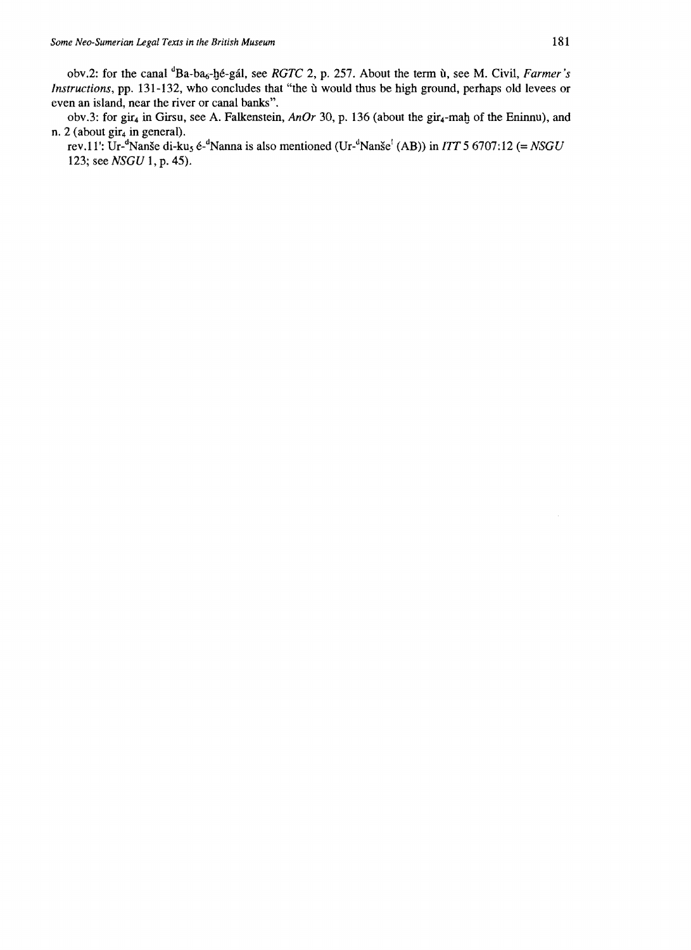obv.2: for the canal <sup>d</sup>Ba-ba<sub>6</sub>-hé-gál, see *RGTC* 2, p. 257. About the term ù, see M. Civil, *Farmer's Instructions, pp. 131-132, who concludes that "the u* would thus be high ground, perhaps old levees or even an island, near the river or canal banks".

obv.3: for gir<sub>4</sub> in Girsu, see A. Falkenstein, *AnOr* 30, p. 136 (about the gir<sub>4</sub>-mah of the Eninnu), and n. 2 (about gir<sub>4</sub> in general).

rev.11': Ur-dNanse di-kus é-dNanna is al so mentioned (Ur-dNanse! (AB» in *lIT* 5 6707:12 (= *NSGU*  123; see *NSGU* 1, p. 45).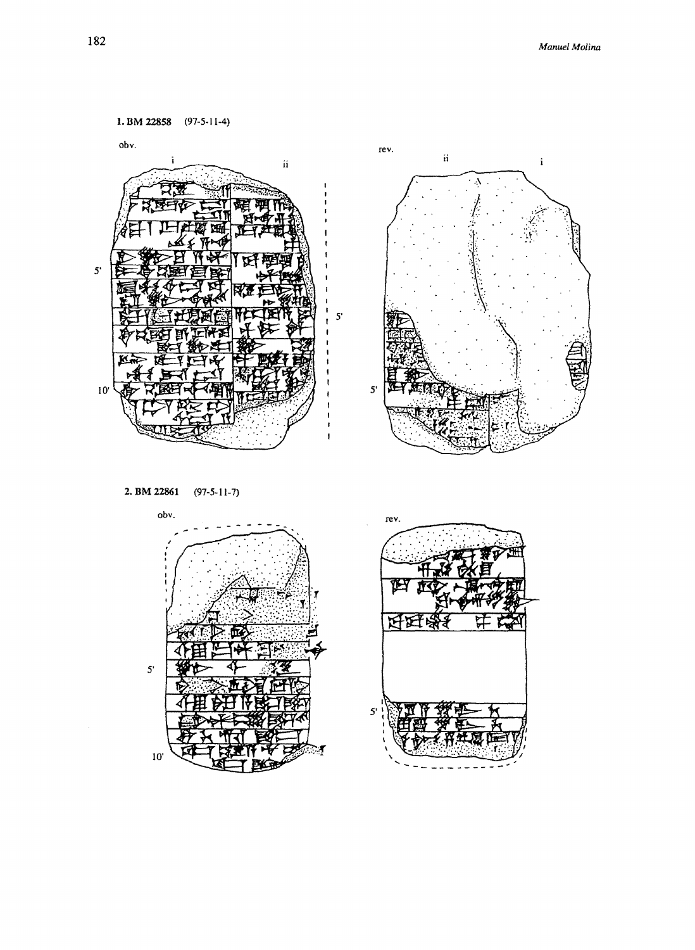$\mathbf i$ 



2. BM 22861  $(97-5-11-7)$ 



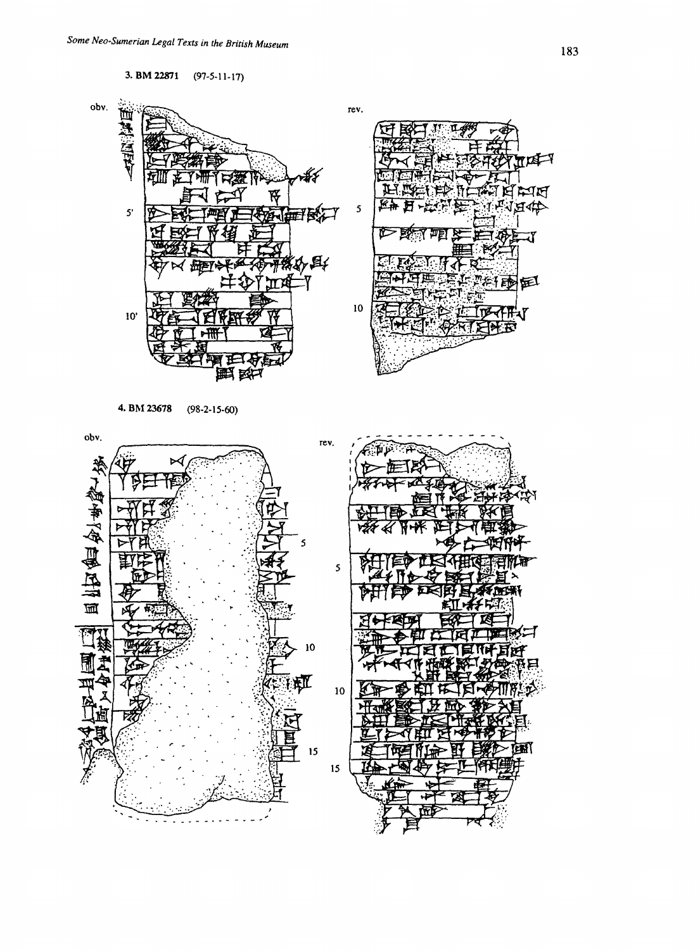**3. BM 22871** (97-5-11-17)



**4. B1\123678** (98.2-15-60)